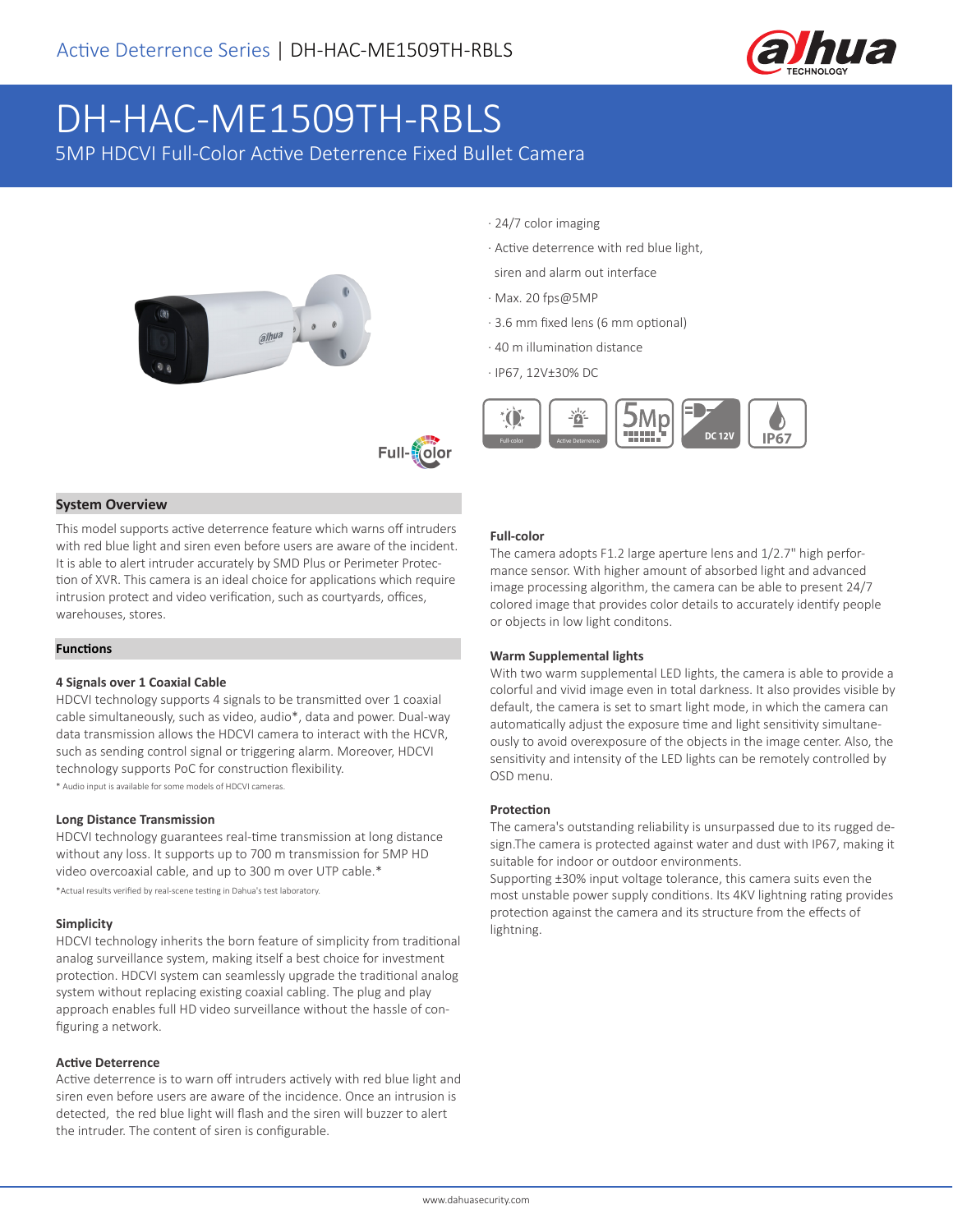

# DH-HAC-ME1509TH-RBLS

5MP HDCVI Full-Color Active Deterrence Fixed Bullet Camera





#### **System Overview**

This model supports active deterrence feature which warns off intruders with red blue light and siren even before users are aware of the incident. It is able to alert intruder accurately by SMD Plus or Perimeter Protection of XVR. This camera is an ideal choice for applications which require intrusion protect and video verification, such as courtyards, offices, warehouses, stores.

#### **Functions**

#### **4 Signals over 1 Coaxial Cable**

HDCVI technology supports 4 signals to be transmitted over 1 coaxial cable simultaneously, such as video, audio\*, data and power. Dual-way data transmission allows the HDCVI camera to interact with the HCVR, such as sending control signal or triggering alarm. Moreover, HDCVI technology supports PoC for construction flexibility. \* Audio input is available for some models of HDCVI cameras.

# **Long Distance Transmission**

HDCVI technology guarantees real-time transmission at long distance without any loss. It supports up to 700 m transmission for 5MP HD video overcoaxial cable, and up to 300 m over UTP cable.\*

\*Actual results verified by real-scene testing in Dahua's test laboratory.

#### **Simplicity**

HDCVI technology inherits the born feature of simplicity from traditional analog surveillance system, making itself a best choice for investment protection. HDCVI system can seamlessly upgrade the traditional analog system without replacing existing coaxial cabling. The plug and play approach enables full HD video surveillance without the hassle of configuring a network.

#### **Active Deterrence**

Active deterrence is to warn off intruders actively with red blue light and siren even before users are aware of the incidence. Once an intrusion is detected, the red blue light will flash and the siren will buzzer to alert the intruder. The content of siren is configurable.

- · 24/7 color imaging
- · Active deterrence with red blue light,
- siren and alarm out interface
- · Max. 20 fps@5MP
- · 3.6 mm fixed lens (6 mm optional)
- · 40 m illumination distance
- · IP67, 12V±30% DC



#### **Full-color**

The camera adopts F1.2 large aperture lens and 1/2.7" high performance sensor. With higher amount of absorbed light and advanced image processing algorithm, the camera can be able to present 24/7 colored image that provides color details to accurately identify people or objects in low light conditons.

#### **Warm Supplemental lights**

With two warm supplemental LED lights, the camera is able to provide a colorful and vivid image even in total darkness. It also provides visible by default, the camera is set to smart light mode, in which the camera can automatically adjust the exposure time and light sensitivity simultaneously to avoid overexposure of the objects in the image center. Also, the sensitivity and intensity of the LED lights can be remotely controlled by OSD menu.

#### **Protection**

The camera's outstanding reliability is unsurpassed due to its rugged design.The camera is protected against water and dust with IP67, making it suitable for indoor or outdoor environments.

Supporting ±30% input voltage tolerance, this camera suits even the most unstable power supply conditions. Its 4KV lightning rating provides protection against the camera and its structure from the effects of lightning.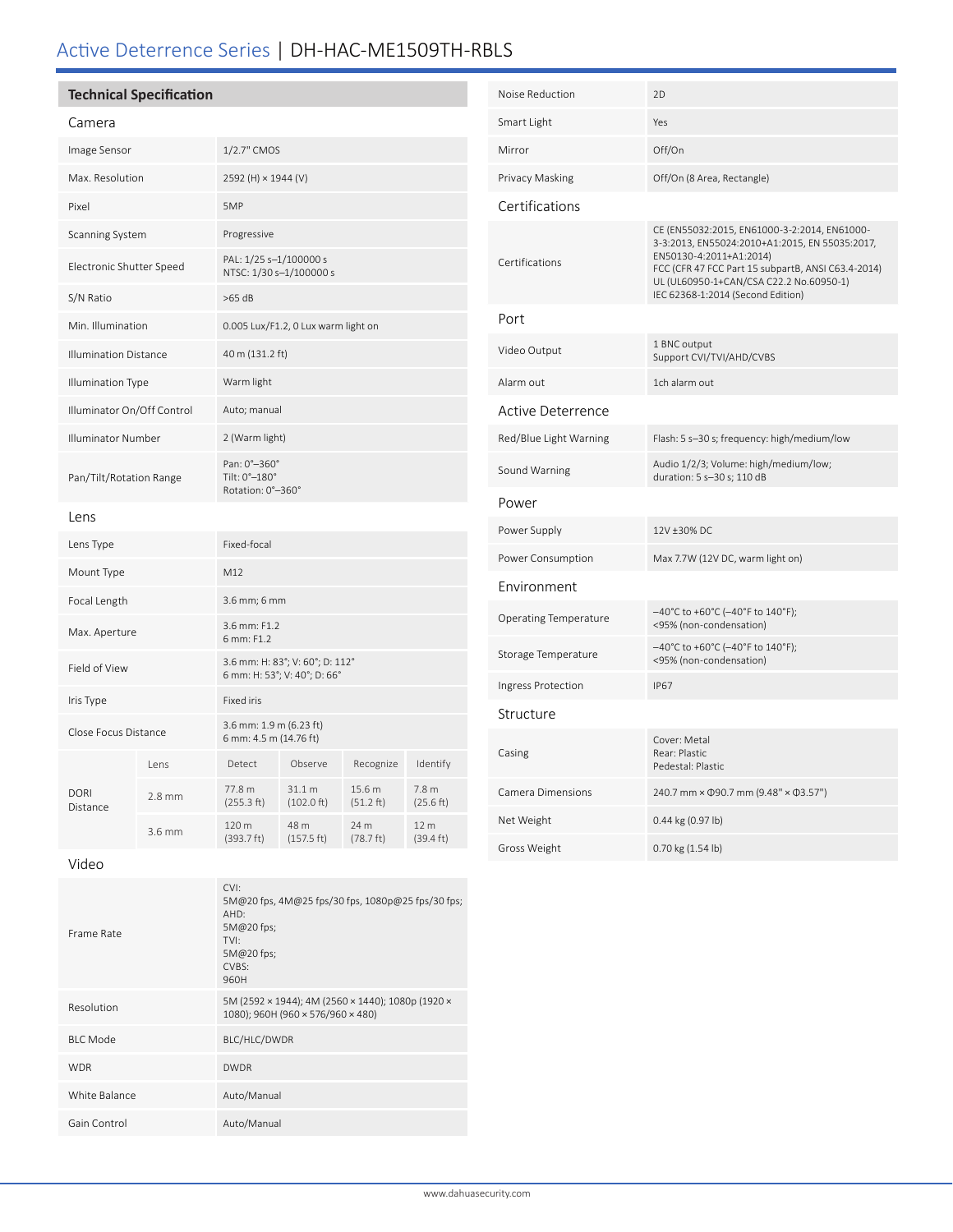# Active Deterrence Series | DH-HAC-ME1509TH-RBLS

## **Technical Specification**

| Camera                       |          |                                                                 |                                |                     |                               |
|------------------------------|----------|-----------------------------------------------------------------|--------------------------------|---------------------|-------------------------------|
| Image Sensor                 |          | 1/2.7" CMOS                                                     |                                |                     |                               |
| Max. Resolution              |          | 2592 (H) × 1944 (V)                                             |                                |                     |                               |
| Pixel                        |          | 5MP                                                             |                                |                     |                               |
| Scanning System              |          | Progressive                                                     |                                |                     |                               |
| Electronic Shutter Speed     |          | PAL: 1/25 s-1/100000 s<br>NTSC: 1/30 s-1/100000 s               |                                |                     |                               |
| S/N Ratio                    |          | $>65$ dB                                                        |                                |                     |                               |
| Min. Illumination            |          | 0.005 Lux/F1.2, 0 Lux warm light on                             |                                |                     |                               |
| <b>Illumination Distance</b> |          | 40 m (131.2 ft)                                                 |                                |                     |                               |
| <b>Illumination Type</b>     |          | Warm light                                                      |                                |                     |                               |
| Illuminator On/Off Control   |          | Auto; manual                                                    |                                |                     |                               |
| <b>Illuminator Number</b>    |          | 2 (Warm light)                                                  |                                |                     |                               |
| Pan/Tilt/Rotation Range      |          | Pan: 0°-360°<br>Tilt: 0°-180°<br>Rotation: 0°-360°              |                                |                     |                               |
| Lens                         |          |                                                                 |                                |                     |                               |
| Lens Type                    |          | Fixed-focal                                                     |                                |                     |                               |
| Mount Type                   |          | M12                                                             |                                |                     |                               |
| Focal Length                 |          | 3.6 mm; 6 mm                                                    |                                |                     |                               |
| Max. Aperture                |          | 3.6 mm: F1.2<br>6 mm: F1.2                                      |                                |                     |                               |
| Field of View                |          | 3.6 mm: H: 83°; V: 60°; D: 112°<br>6 mm: H: 53°; V: 40°; D: 66° |                                |                     |                               |
| Iris Type                    |          | <b>Fixed iris</b>                                               |                                |                     |                               |
| Close Focus Distance         |          | 3.6 mm: 1.9 m (6.23 ft)<br>6 mm: 4.5 m (14.76 ft)               |                                |                     |                               |
| <b>DORI</b><br>Distance      | Lens     | Detect                                                          | Observe                        | Recognize           | Identify                      |
|                              | $2.8$ mm | 77.8 m<br>(255.3 ft)                                            | 31.1 m<br>$(102.0 \text{ ft})$ | 15.6 m<br>(51.2 ft) | 7.8 <sub>m</sub><br>(25.6 ft) |

| Noise Reduction              | 2D                                                                                                                                                                                                                                                              |  |  |  |
|------------------------------|-----------------------------------------------------------------------------------------------------------------------------------------------------------------------------------------------------------------------------------------------------------------|--|--|--|
| Smart Light                  | Yes                                                                                                                                                                                                                                                             |  |  |  |
| Mirror                       | Off/On                                                                                                                                                                                                                                                          |  |  |  |
| Privacy Masking              | Off/On (8 Area, Rectangle)                                                                                                                                                                                                                                      |  |  |  |
| Certifications               |                                                                                                                                                                                                                                                                 |  |  |  |
| Certifications               | CE (EN55032:2015, EN61000-3-2:2014, EN61000-<br>3-3:2013, EN55024:2010+A1:2015, EN 55035:2017,<br>EN50130-4:2011+A1:2014)<br>FCC (CFR 47 FCC Part 15 subpartB, ANSI C63.4-2014)<br>UL (UL60950-1+CAN/CSA C22.2 No.60950-1)<br>IEC 62368-1:2014 (Second Edition) |  |  |  |
| Port                         |                                                                                                                                                                                                                                                                 |  |  |  |
| Video Output                 | 1 BNC output<br>Support CVI/TVI/AHD/CVBS                                                                                                                                                                                                                        |  |  |  |
| Alarm out                    | 1ch alarm out                                                                                                                                                                                                                                                   |  |  |  |
| Active Deterrence            |                                                                                                                                                                                                                                                                 |  |  |  |
| Red/Blue Light Warning       | Flash: 5 s-30 s; frequency: high/medium/low                                                                                                                                                                                                                     |  |  |  |
| Sound Warning                | Audio 1/2/3; Volume: high/medium/low;<br>duration: 5 s-30 s; 110 dB                                                                                                                                                                                             |  |  |  |
| Power                        |                                                                                                                                                                                                                                                                 |  |  |  |
| Power Supply                 | 12V +30% DC                                                                                                                                                                                                                                                     |  |  |  |
| Power Consumption            | Max 7.7W (12V DC, warm light on)                                                                                                                                                                                                                                |  |  |  |
| Environment                  |                                                                                                                                                                                                                                                                 |  |  |  |
| <b>Operating Temperature</b> | -40°C to +60°C (-40°F to 140°F);<br><95% (non-condensation)                                                                                                                                                                                                     |  |  |  |
| Storage Temperature          | $-40^{\circ}$ C to +60°C (-40°F to 140°F);<br><95% (non-condensation)                                                                                                                                                                                           |  |  |  |
| Ingress Protection           | <b>IP67</b>                                                                                                                                                                                                                                                     |  |  |  |
| Structure                    |                                                                                                                                                                                                                                                                 |  |  |  |
| Casing                       | Cover: Metal<br>Rear: Plastic<br>Pedestal: Plastic                                                                                                                                                                                                              |  |  |  |
| Camera Dimensions            | 240.7 mm × $\Phi$ 90.7 mm (9.48" × $\Phi$ 3.57")                                                                                                                                                                                                                |  |  |  |
| Net Weight                   | 0.44 kg (0.97 lb)                                                                                                                                                                                                                                               |  |  |  |
| Gross Weight                 | 0.70 kg (1.54 lb)                                                                                                                                                                                                                                               |  |  |  |

#### Video

 $3.6$  mm

| Frame Rate      | CVI:<br>5M@20 fps, 4M@25 fps/30 fps, 1080p@25 fps/30 fps;<br>AHD:<br>5M@20 fps;<br>TVI:<br>5M@20 fps;<br>CVBS:<br>960H |
|-----------------|------------------------------------------------------------------------------------------------------------------------|
| Resolution      | 5M (2592 × 1944); 4M (2560 × 1440); 1080p (1920 ×<br>1080); 960H (960 × 576/960 × 480)                                 |
| <b>BIC</b> Mode | BLC/HLC/DWDR                                                                                                           |
| <b>WDR</b>      | <b>DWDR</b>                                                                                                            |
| White Balance   | Auto/Manual                                                                                                            |
| Gain Control    | Auto/Manual                                                                                                            |

(393.7 ft)

48 m (157.5 ft) 24 m (78.7 ft)

12 m (39.4 ft)